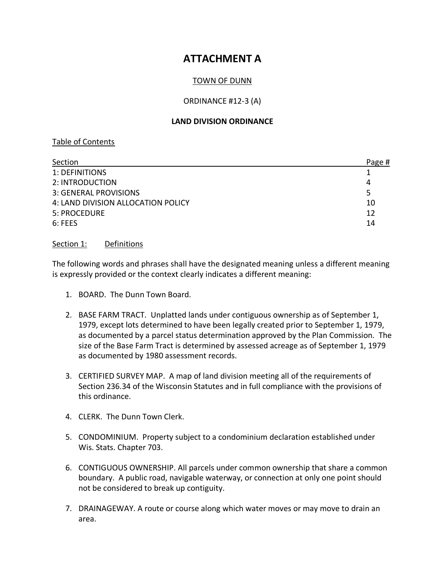# **ATTACHMENT A**

## TOWN OF DUNN

#### ORDINANCE #12-3 (A)

#### **LAND DIVISION ORDINANCE**

## Table of Contents

| Section                            | Page # |
|------------------------------------|--------|
| 1: DEFINITIONS                     |        |
| 2: INTRODUCTION                    | 4      |
| 3: GENERAL PROVISIONS              | 5      |
| 4: LAND DIVISION ALLOCATION POLICY | 10     |
| 5: PROCEDURE                       | 12     |
| $6:$ FEES                          | 14     |

#### Section 1: Definitions

The following words and phrases shall have the designated meaning unless a different meaning is expressly provided or the context clearly indicates a different meaning:

- 1. BOARD. The Dunn Town Board.
- 2. BASE FARM TRACT. Unplatted lands under contiguous ownership as of September 1, 1979, except lots determined to have been legally created prior to September 1, 1979, as documented by a parcel status determination approved by the Plan Commission. The size of the Base Farm Tract is determined by assessed acreage as of September 1, 1979 as documented by 1980 assessment records.
- 3. CERTIFIED SURVEY MAP. A map of land division meeting all of the requirements of Section 236.34 of the Wisconsin Statutes and in full compliance with the provisions of this ordinance.
- 4. CLERK. The Dunn Town Clerk.
- 5. CONDOMINIUM. Property subject to a condominium declaration established under Wis. Stats. Chapter 703.
- 6. CONTIGUOUS OWNERSHIP. All parcels under common ownership that share a common boundary. A public road, navigable waterway, or connection at only one point should not be considered to break up contiguity.
- 7. DRAINAGEWAY. A route or course along which water moves or may move to drain an area.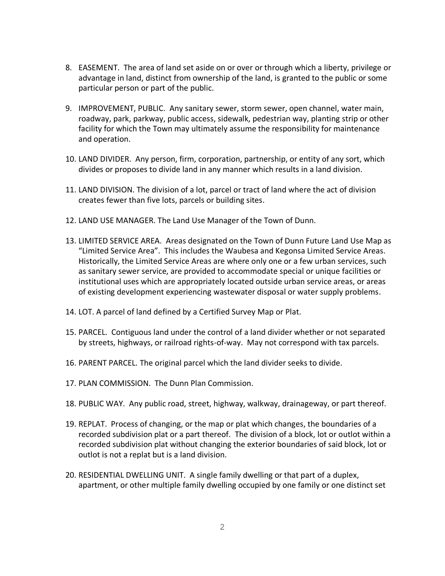- 8. EASEMENT. The area of land set aside on or over or through which a liberty, privilege or advantage in land, distinct from ownership of the land, is granted to the public or some particular person or part of the public.
- 9. IMPROVEMENT, PUBLIC. Any sanitary sewer, storm sewer, open channel, water main, roadway, park, parkway, public access, sidewalk, pedestrian way, planting strip or other facility for which the Town may ultimately assume the responsibility for maintenance and operation.
- 10. LAND DIVIDER. Any person, firm, corporation, partnership, or entity of any sort, which divides or proposes to divide land in any manner which results in a land division.
- 11. LAND DIVISION. The division of a lot, parcel or tract of land where the act of division creates fewer than five lots, parcels or building sites.
- 12. LAND USE MANAGER. The Land Use Manager of the Town of Dunn.
- 13. LIMITED SERVICE AREA. Areas designated on the Town of Dunn Future Land Use Map as "Limited Service Area". This includes the Waubesa and Kegonsa Limited Service Areas. Historically, the Limited Service Areas are where only one or a few urban services, such as sanitary sewer service, are provided to accommodate special or unique facilities or institutional uses which are appropriately located outside urban service areas, or areas of existing development experiencing wastewater disposal or water supply problems.
- 14. LOT. A parcel of land defined by a Certified Survey Map or Plat.
- 15. PARCEL. Contiguous land under the control of a land divider whether or not separated by streets, highways, or railroad rights-of-way. May not correspond with tax parcels.
- 16. PARENT PARCEL. The original parcel which the land divider seeks to divide.
- 17. PLAN COMMISSION. The Dunn Plan Commission.
- 18. PUBLIC WAY. Any public road, street, highway, walkway, drainageway, or part thereof.
- 19. REPLAT. Process of changing, or the map or plat which changes, the boundaries of a recorded subdivision plat or a part thereof. The division of a block, lot or outlot within a recorded subdivision plat without changing the exterior boundaries of said block, lot or outlot is not a replat but is a land division.
- 20. RESIDENTIAL DWELLING UNIT. A single family dwelling or that part of a duplex, apartment, or other multiple family dwelling occupied by one family or one distinct set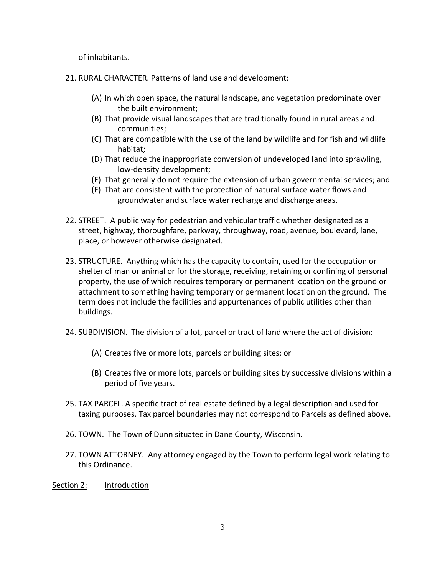of inhabitants.

- 21. RURAL CHARACTER. Patterns of land use and development:
	- (A) In which open space, the natural landscape, and vegetation predominate over the built environment;
	- (B) That provide visual landscapes that are traditionally found in rural areas and communities;
	- (C) That are compatible with the use of the land by wildlife and for fish and wildlife habitat;
	- (D) That reduce the inappropriate conversion of undeveloped land into sprawling, low-density development;
	- (E) That generally do not require the extension of urban governmental services; and
	- (F) That are consistent with the protection of natural surface water flows and groundwater and surface water recharge and discharge areas.
- 22. STREET. A public way for pedestrian and vehicular traffic whether designated as a street, highway, thoroughfare, parkway, throughway, road, avenue, boulevard, lane, place, or however otherwise designated.
- 23. STRUCTURE. Anything which has the capacity to contain, used for the occupation or shelter of man or animal or for the storage, receiving, retaining or confining of personal property, the use of which requires temporary or permanent location on the ground or attachment to something having temporary or permanent location on the ground. The term does not include the facilities and appurtenances of public utilities other than buildings.
- 24. SUBDIVISION. The division of a lot, parcel or tract of land where the act of division:
	- (A) Creates five or more lots, parcels or building sites; or
	- (B) Creates five or more lots, parcels or building sites by successive divisions within a period of five years.
- 25. TAX PARCEL. A specific tract of real estate defined by a legal description and used for taxing purposes. Tax parcel boundaries may not correspond to Parcels as defined above.
- 26. TOWN. The Town of Dunn situated in Dane County, Wisconsin.
- 27. TOWN ATTORNEY. Any attorney engaged by the Town to perform legal work relating to this Ordinance.
- Section 2: Introduction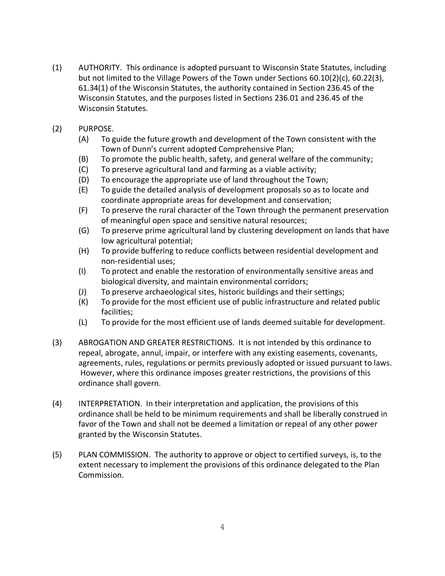- (1) AUTHORITY. This ordinance is adopted pursuant to Wisconsin State Statutes, including but not limited to the Village Powers of the Town under Sections 60.10(2)(c), 60.22(3), 61.34(1) of the Wisconsin Statutes, the authority contained in Section 236.45 of the Wisconsin Statutes, and the purposes listed in Sections 236.01 and 236.45 of the Wisconsin Statutes.
- (2) PURPOSE.
	- (A) To guide the future growth and development of the Town consistent with the Town of Dunn's current adopted Comprehensive Plan;
	- (B) To promote the public health, safety, and general welfare of the community;
	- (C) To preserve agricultural land and farming as a viable activity;
	- (D) To encourage the appropriate use of land throughout the Town;
	- (E) To guide the detailed analysis of development proposals so as to locate and coordinate appropriate areas for development and conservation;
	- (F) To preserve the rural character of the Town through the permanent preservation of meaningful open space and sensitive natural resources;
	- (G) To preserve prime agricultural land by clustering development on lands that have low agricultural potential;
	- (H) To provide buffering to reduce conflicts between residential development and non-residential uses;
	- (I) To protect and enable the restoration of environmentally sensitive areas and biological diversity, and maintain environmental corridors;
	- (J) To preserve archaeological sites, historic buildings and their settings;
	- (K) To provide for the most efficient use of public infrastructure and related public facilities;
	- (L) To provide for the most efficient use of lands deemed suitable for development.
- (3) ABROGATION AND GREATER RESTRICTIONS. It is not intended by this ordinance to repeal, abrogate, annul, impair, or interfere with any existing easements, covenants, agreements, rules, regulations or permits previously adopted or issued pursuant to laws. However, where this ordinance imposes greater restrictions, the provisions of this ordinance shall govern.
- (4) INTERPRETATION. In their interpretation and application, the provisions of this ordinance shall be held to be minimum requirements and shall be liberally construed in favor of the Town and shall not be deemed a limitation or repeal of any other power granted by the Wisconsin Statutes.
- (5) PLAN COMMISSION. The authority to approve or object to certified surveys, is, to the extent necessary to implement the provisions of this ordinance delegated to the Plan Commission.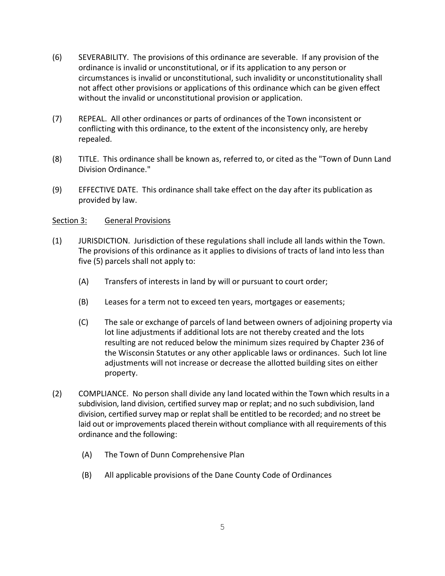- (6) SEVERABILITY. The provisions of this ordinance are severable. If any provision of the ordinance is invalid or unconstitutional, or if its application to any person or circumstances is invalid or unconstitutional, such invalidity or unconstitutionality shall not affect other provisions or applications of this ordinance which can be given effect without the invalid or unconstitutional provision or application.
- (7) REPEAL. All other ordinances or parts of ordinances of the Town inconsistent or conflicting with this ordinance, to the extent of the inconsistency only, are hereby repealed.
- (8) TITLE. This ordinance shall be known as, referred to, or cited as the "Town of Dunn Land Division Ordinance."
- (9) EFFECTIVE DATE. This ordinance shall take effect on the day after its publication as provided by law.

## Section 3: General Provisions

- (1) JURISDICTION. Jurisdiction of these regulations shall include all lands within the Town. The provisions of this ordinance as it applies to divisions of tracts of land into less than five (5) parcels shall not apply to:
	- (A) Transfers of interests in land by will or pursuant to court order;
	- (B) Leases for a term not to exceed ten years, mortgages or easements;
	- (C) The sale or exchange of parcels of land between owners of adjoining property via lot line adjustments if additional lots are not thereby created and the lots resulting are not reduced below the minimum sizes required by Chapter 236 of the Wisconsin Statutes or any other applicable laws or ordinances. Such lot line adjustments will not increase or decrease the allotted building sites on either property.
- (2) COMPLIANCE. No person shall divide any land located within the Town which results in a subdivision, land division, certified survey map or replat; and no such subdivision, land division, certified survey map or replat shall be entitled to be recorded; and no street be laid out or improvements placed therein without compliance with all requirements of this ordinance and the following:
	- (A) The Town of Dunn Comprehensive Plan
	- (B) All applicable provisions of the Dane County Code of Ordinances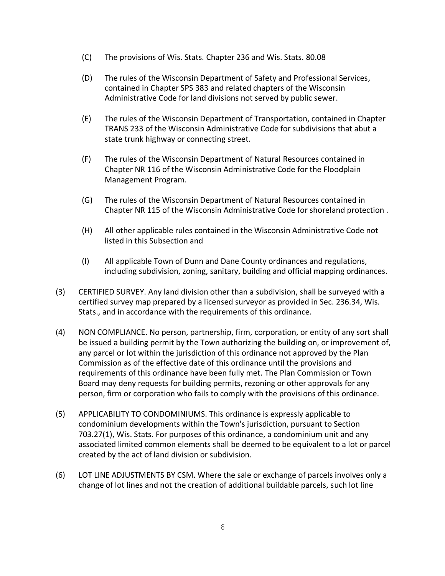- (C) The provisions of Wis. Stats. Chapter 236 and Wis. Stats. 80.08
- (D) The rules of the Wisconsin Department of Safety and Professional Services, contained in Chapter SPS 383 and related chapters of the Wisconsin Administrative Code for land divisions not served by public sewer.
- (E) The rules of the Wisconsin Department of Transportation, contained in Chapter TRANS 233 of the Wisconsin Administrative Code for subdivisions that abut a state trunk highway or connecting street.
- (F) The rules of the Wisconsin Department of Natural Resources contained in Chapter NR 116 of the Wisconsin Administrative Code for the Floodplain Management Program.
- (G) The rules of the Wisconsin Department of Natural Resources contained in Chapter NR 115 of the Wisconsin Administrative Code for shoreland protection .
- (H) All other applicable rules contained in the Wisconsin Administrative Code not listed in this Subsection and
- (I) All applicable Town of Dunn and Dane County ordinances and regulations, including subdivision, zoning, sanitary, building and official mapping ordinances.
- (3) CERTIFIED SURVEY. Any land division other than a subdivision, shall be surveyed with a certified survey map prepared by a licensed surveyor as provided in Sec. 236.34, Wis. Stats., and in accordance with the requirements of this ordinance.
- (4) NON COMPLIANCE. No person, partnership, firm, corporation, or entity of any sort shall be issued a building permit by the Town authorizing the building on, or improvement of, any parcel or lot within the jurisdiction of this ordinance not approved by the Plan Commission as of the effective date of this ordinance until the provisions and requirements of this ordinance have been fully met. The Plan Commission or Town Board may deny requests for building permits, rezoning or other approvals for any person, firm or corporation who fails to comply with the provisions of this ordinance.
- (5) APPLICABILITY TO CONDOMINIUMS. This ordinance is expressly applicable to condominium developments within the Town's jurisdiction, pursuant to Section 703.27(1), Wis. Stats. For purposes of this ordinance, a condominium unit and any associated limited common elements shall be deemed to be equivalent to a lot or parcel created by the act of land division or subdivision.
- (6) LOT LINE ADJUSTMENTS BY CSM. Where the sale or exchange of parcels involves only a change of lot lines and not the creation of additional buildable parcels, such lot line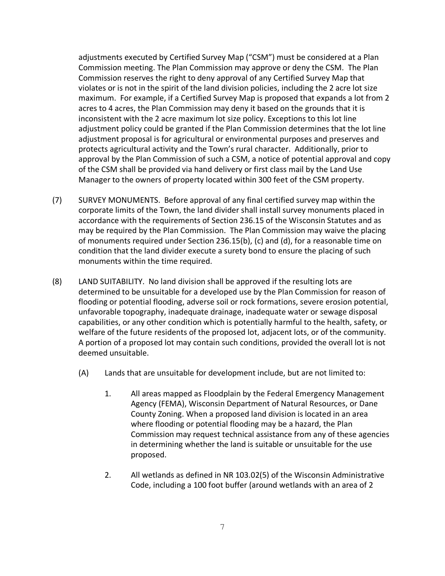adjustments executed by Certified Survey Map ("CSM") must be considered at a Plan Commission meeting. The Plan Commission may approve or deny the CSM. The Plan Commission reserves the right to deny approval of any Certified Survey Map that violates or is not in the spirit of the land division policies, including the 2 acre lot size maximum. For example, if a Certified Survey Map is proposed that expands a lot from 2 acres to 4 acres, the Plan Commission may deny it based on the grounds that it is inconsistent with the 2 acre maximum lot size policy. Exceptions to this lot line adjustment policy could be granted if the Plan Commission determines that the lot line adjustment proposal is for agricultural or environmental purposes and preserves and protects agricultural activity and the Town's rural character. Additionally, prior to approval by the Plan Commission of such a CSM, a notice of potential approval and copy of the CSM shall be provided via hand delivery or first class mail by the Land Use Manager to the owners of property located within 300 feet of the CSM property.

- (7) SURVEY MONUMENTS. Before approval of any final certified survey map within the corporate limits of the Town, the land divider shall install survey monuments placed in accordance with the requirements of Section 236.15 of the Wisconsin Statutes and as may be required by the Plan Commission. The Plan Commission may waive the placing of monuments required under Section 236.15(b), (c) and (d), for a reasonable time on condition that the land divider execute a surety bond to ensure the placing of such monuments within the time required.
- (8) LAND SUITABILITY. No land division shall be approved if the resulting lots are determined to be unsuitable for a developed use by the Plan Commission for reason of flooding or potential flooding, adverse soil or rock formations, severe erosion potential, unfavorable topography, inadequate drainage, inadequate water or sewage disposal capabilities, or any other condition which is potentially harmful to the health, safety, or welfare of the future residents of the proposed lot, adjacent lots, or of the community. A portion of a proposed lot may contain such conditions, provided the overall lot is not deemed unsuitable.
	- (A) Lands that are unsuitable for development include, but are not limited to:
		- 1. All areas mapped as Floodplain by the Federal Emergency Management Agency (FEMA), Wisconsin Department of Natural Resources, or Dane County Zoning. When a proposed land division is located in an area where flooding or potential flooding may be a hazard, the Plan Commission may request technical assistance from any of these agencies in determining whether the land is suitable or unsuitable for the use proposed.
		- 2. All wetlands as defined in NR 103.02(5) of the Wisconsin Administrative Code, including a 100 foot buffer (around wetlands with an area of 2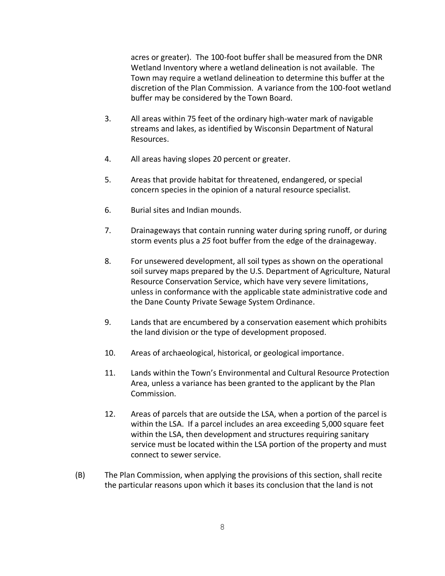acres or greater). The 100-foot buffer shall be measured from the DNR Wetland Inventory where a wetland delineation is not available. The Town may require a wetland delineation to determine this buffer at the discretion of the Plan Commission. A variance from the 100-foot wetland buffer may be considered by the Town Board.

- 3. All areas within 75 feet of the ordinary high-water mark of navigable streams and lakes, as identified by Wisconsin Department of Natural Resources.
- 4. All areas having slopes 20 percent or greater.
- 5. Areas that provide habitat for threatened, endangered, or special concern species in the opinion of a natural resource specialist.
- 6. Burial sites and Indian mounds.
- 7. Drainageways that contain running water during spring runoff, or during storm events plus a *25* foot buffer from the edge of the drainageway.
- 8. For unsewered development, all soil types as shown on the operational soil survey maps prepared by the U.S. Department of Agriculture, Natural Resource Conservation Service, which have very severe limitations, unless in conformance with the applicable state administrative code and the Dane County Private Sewage System Ordinance.
- 9. Lands that are encumbered by a conservation easement which prohibits the land division or the type of development proposed.
- 10. Areas of archaeological, historical, or geological importance.
- 11. Lands within the Town's Environmental and Cultural Resource Protection Area, unless a variance has been granted to the applicant by the Plan Commission.
- 12. Areas of parcels that are outside the LSA, when a portion of the parcel is within the LSA. If a parcel includes an area exceeding 5,000 square feet within the LSA, then development and structures requiring sanitary service must be located within the LSA portion of the property and must connect to sewer service.
- (B) The Plan Commission, when applying the provisions of this section, shall recite the particular reasons upon which it bases its conclusion that the land is not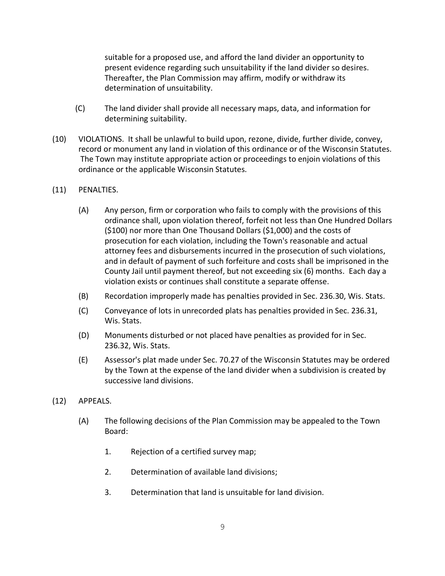suitable for a proposed use, and afford the land divider an opportunity to present evidence regarding such unsuitability if the land divider so desires. Thereafter, the Plan Commission may affirm, modify or withdraw its determination of unsuitability.

- (C) The land divider shall provide all necessary maps, data, and information for determining suitability.
- (10) VIOLATIONS. It shall be unlawful to build upon, rezone, divide, further divide, convey, record or monument any land in violation of this ordinance or of the Wisconsin Statutes. The Town may institute appropriate action or proceedings to enjoin violations of this ordinance or the applicable Wisconsin Statutes.
- (11) PENALTIES.
	- (A) Any person, firm or corporation who fails to comply with the provisions of this ordinance shall, upon violation thereof, forfeit not less than One Hundred Dollars (\$100) nor more than One Thousand Dollars (\$1,000) and the costs of prosecution for each violation, including the Town's reasonable and actual attorney fees and disbursements incurred in the prosecution of such violations, and in default of payment of such forfeiture and costs shall be imprisoned in the County Jail until payment thereof, but not exceeding six (6) months. Each day a violation exists or continues shall constitute a separate offense.
	- (B) Recordation improperly made has penalties provided in Sec. 236.30, Wis. Stats.
	- (C) Conveyance of lots in unrecorded plats has penalties provided in Sec. 236.31, Wis. Stats.
	- (D) Monuments disturbed or not placed have penalties as provided for in Sec. 236.32, Wis. Stats.
	- (E) Assessor's plat made under Sec. 70.27 of the Wisconsin Statutes may be ordered by the Town at the expense of the land divider when a subdivision is created by successive land divisions.
- (12) APPEALS.
	- (A) The following decisions of the Plan Commission may be appealed to the Town Board:
		- 1. Rejection of a certified survey map;
		- 2. Determination of available land divisions;
		- 3. Determination that land is unsuitable for land division.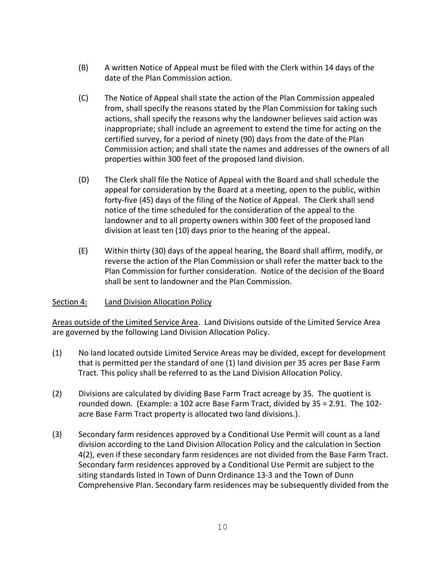- (B) A written Notice of Appeal must be filed with the Clerk within 14 days of the date of the Plan Commission action.
- (C) The Notice of Appeal shall state the action of the Plan Commission appealed from, shall specify the reasons stated by the Plan Commission for taking such actions, shall specify the reasons why the landowner believes said action was inappropriate; shall include an agreement to extend the time for acting on the certified survey, for a period of ninety (90) days from the date of the Plan Commission action; and shall state the names and addresses of the owners of all properties within 300 feet of the proposed land division.
- (D) The Clerk shall file the Notice of Appeal with the Board and shall schedule the appeal for consideration by the Board at a meeting, open to the public, within forty-five (45) days of the filing of the Notice of Appeal. The Clerk shall send notice of the time scheduled for the consideration of the appeal to the landowner and to all property owners within 300 feet of the proposed land division at least ten (10) days prior to the hearing of the appeal.
- (E) Within thirty (30) days of the appeal hearing, the Board shall affirm, modify, or reverse the action of the Plan Commission or shall refer the matter back to the Plan Commission for further consideration. Notice of the decision of the Board shall be sent to landowner and the Plan Commission.

#### Section 4: Land Division Allocation Policy

Areas outside of the Limited Service Area. Land Divisions outside of the Limited Service Area are governed by the following Land Division Allocation Policy.

- (1) No land located outside Limited Service Areas may be divided, except for development that is permitted per the standard of one (1) land division per 35 acres per Base Farm Tract. This policy shall be referred to as the Land Division Allocation Policy.
- (2) Divisions are calculated by dividing Base Farm Tract acreage by 35. The quotient is rounded down. (Example: a 102 acre Base Farm Tract, divided by 35 = 2.91. The 102 acre Base Farm Tract property is allocated two land divisions.).
- (3) Secondary farm residences approved by a Conditional Use Permit will count as a land division according to the Land Division Allocation Policy and the calculation in Section 4(2), even if these secondary farm residences are not divided from the Base Farm Tract. Secondary farm residences approved by a Conditional Use Permit are subject to the siting standards listed in Town of Dunn Ordinance 13-3 and the Town of Dunn Comprehensive Plan. Secondary farm residences may be subsequently divided from the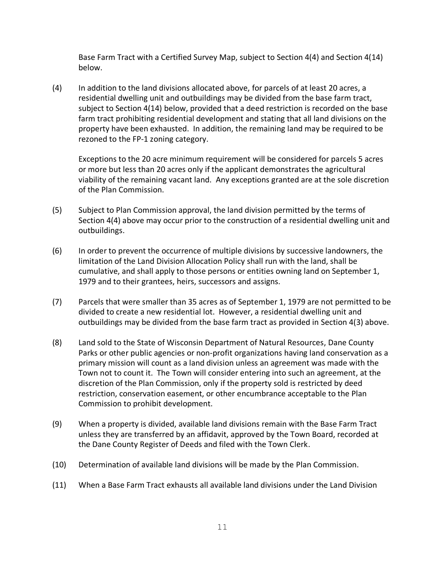Base Farm Tract with a Certified Survey Map, subject to Section 4(4) and Section 4(14) below.

(4) In addition to the land divisions allocated above, for parcels of at least 20 acres, a residential dwelling unit and outbuildings may be divided from the base farm tract, subject to Section 4(14) below, provided that a deed restriction is recorded on the base farm tract prohibiting residential development and stating that all land divisions on the property have been exhausted. In addition, the remaining land may be required to be rezoned to the FP-1 zoning category.

Exceptions to the 20 acre minimum requirement will be considered for parcels 5 acres or more but less than 20 acres only if the applicant demonstrates the agricultural viability of the remaining vacant land. Any exceptions granted are at the sole discretion of the Plan Commission.

- (5) Subject to Plan Commission approval, the land division permitted by the terms of Section 4(4) above may occur prior to the construction of a residential dwelling unit and outbuildings.
- (6) In order to prevent the occurrence of multiple divisions by successive landowners, the limitation of the Land Division Allocation Policy shall run with the land, shall be cumulative, and shall apply to those persons or entities owning land on September 1, 1979 and to their grantees, heirs, successors and assigns.
- (7) Parcels that were smaller than 35 acres as of September 1, 1979 are not permitted to be divided to create a new residential lot. However, a residential dwelling unit and outbuildings may be divided from the base farm tract as provided in Section 4(3) above.
- (8) Land sold to the State of Wisconsin Department of Natural Resources, Dane County Parks or other public agencies or non-profit organizations having land conservation as a primary mission will count as a land division unless an agreement was made with the Town not to count it. The Town will consider entering into such an agreement, at the discretion of the Plan Commission, only if the property sold is restricted by deed restriction, conservation easement, or other encumbrance acceptable to the Plan Commission to prohibit development.
- (9) When a property is divided, available land divisions remain with the Base Farm Tract unless they are transferred by an affidavit, approved by the Town Board, recorded at the Dane County Register of Deeds and filed with the Town Clerk.
- (10) Determination of available land divisions will be made by the Plan Commission.
- (11) When a Base Farm Tract exhausts all available land divisions under the Land Division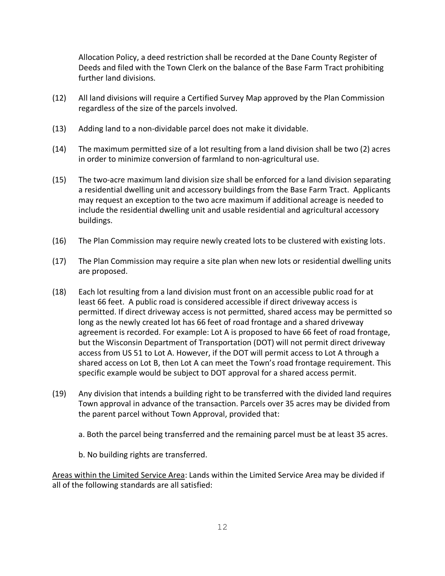Allocation Policy, a deed restriction shall be recorded at the Dane County Register of Deeds and filed with the Town Clerk on the balance of the Base Farm Tract prohibiting further land divisions.

- (12) All land divisions will require a Certified Survey Map approved by the Plan Commission regardless of the size of the parcels involved.
- (13) Adding land to a non-dividable parcel does not make it dividable.
- (14) The maximum permitted size of a lot resulting from a land division shall be two (2) acres in order to minimize conversion of farmland to non-agricultural use.
- (15) The two-acre maximum land division size shall be enforced for a land division separating a residential dwelling unit and accessory buildings from the Base Farm Tract. Applicants may request an exception to the two acre maximum if additional acreage is needed to include the residential dwelling unit and usable residential and agricultural accessory buildings.
- (16) The Plan Commission may require newly created lots to be clustered with existing lots.
- (17) The Plan Commission may require a site plan when new lots or residential dwelling units are proposed.
- (18) Each lot resulting from a land division must front on an accessible public road for at least 66 feet. A public road is considered accessible if direct driveway access is permitted. If direct driveway access is not permitted, shared access may be permitted so long as the newly created lot has 66 feet of road frontage and a shared driveway agreement is recorded. For example: Lot A is proposed to have 66 feet of road frontage, but the Wisconsin Department of Transportation (DOT) will not permit direct driveway access from US 51 to Lot A. However, if the DOT will permit access to Lot A through a shared access on Lot B, then Lot A can meet the Town's road frontage requirement. This specific example would be subject to DOT approval for a shared access permit.
- (19) Any division that intends a building right to be transferred with the divided land requires Town approval in advance of the transaction. Parcels over 35 acres may be divided from the parent parcel without Town Approval, provided that:
	- a. Both the parcel being transferred and the remaining parcel must be at least 35 acres.
	- b. No building rights are transferred.

Areas within the Limited Service Area: Lands within the Limited Service Area may be divided if all of the following standards are all satisfied: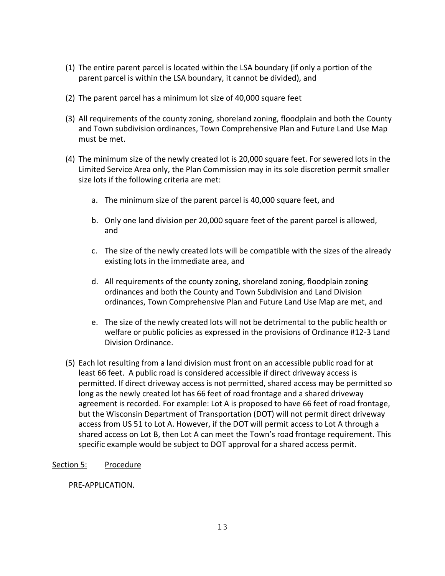- (1) The entire parent parcel is located within the LSA boundary (if only a portion of the parent parcel is within the LSA boundary, it cannot be divided), and
- (2) The parent parcel has a minimum lot size of 40,000 square feet
- (3) All requirements of the county zoning, shoreland zoning, floodplain and both the County and Town subdivision ordinances, Town Comprehensive Plan and Future Land Use Map must be met.
- (4) The minimum size of the newly created lot is 20,000 square feet. For sewered lots in the Limited Service Area only, the Plan Commission may in its sole discretion permit smaller size lots if the following criteria are met:
	- a. The minimum size of the parent parcel is 40,000 square feet, and
	- b. Only one land division per 20,000 square feet of the parent parcel is allowed, and
	- c. The size of the newly created lots will be compatible with the sizes of the already existing lots in the immediate area, and
	- d. All requirements of the county zoning, shoreland zoning, floodplain zoning ordinances and both the County and Town Subdivision and Land Division ordinances, Town Comprehensive Plan and Future Land Use Map are met, and
	- e. The size of the newly created lots will not be detrimental to the public health or welfare or public policies as expressed in the provisions of Ordinance #12-3 Land Division Ordinance.
- (5) Each lot resulting from a land division must front on an accessible public road for at least 66 feet. A public road is considered accessible if direct driveway access is permitted. If direct driveway access is not permitted, shared access may be permitted so long as the newly created lot has 66 feet of road frontage and a shared driveway agreement is recorded. For example: Lot A is proposed to have 66 feet of road frontage, but the Wisconsin Department of Transportation (DOT) will not permit direct driveway access from US 51 to Lot A. However, if the DOT will permit access to Lot A through a shared access on Lot B, then Lot A can meet the Town's road frontage requirement. This specific example would be subject to DOT approval for a shared access permit.

#### Section 5: Procedure

PRE-APPLICATION.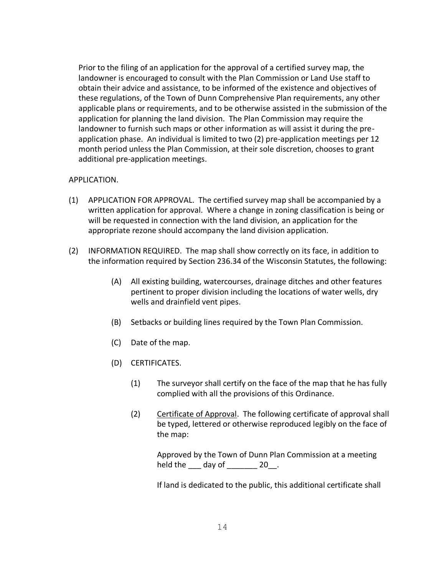Prior to the filing of an application for the approval of a certified survey map, the landowner is encouraged to consult with the Plan Commission or Land Use staff to obtain their advice and assistance, to be informed of the existence and objectives of these regulations, of the Town of Dunn Comprehensive Plan requirements, any other applicable plans or requirements, and to be otherwise assisted in the submission of the application for planning the land division. The Plan Commission may require the landowner to furnish such maps or other information as will assist it during the preapplication phase. An individual is limited to two (2) pre-application meetings per 12 month period unless the Plan Commission, at their sole discretion, chooses to grant additional pre-application meetings.

#### APPLICATION.

- (1) APPLICATION FOR APPROVAL. The certified survey map shall be accompanied by a written application for approval. Where a change in zoning classification is being or will be requested in connection with the land division, an application for the appropriate rezone should accompany the land division application.
- (2) INFORMATION REQUIRED. The map shall show correctly on its face, in addition to the information required by Section 236.34 of the Wisconsin Statutes, the following:
	- (A) All existing building, watercourses, drainage ditches and other features pertinent to proper division including the locations of water wells, dry wells and drainfield vent pipes.
	- (B) Setbacks or building lines required by the Town Plan Commission.
	- (C) Date of the map.
	- (D) CERTIFICATES.
		- (1) The surveyor shall certify on the face of the map that he has fully complied with all the provisions of this Ordinance.
		- (2) Certificate of Approval. The following certificate of approval shall be typed, lettered or otherwise reproduced legibly on the face of the map:

Approved by the Town of Dunn Plan Commission at a meeting held the  $\frac{1}{20}$  day of  $\frac{20}{20}$ .

If land is dedicated to the public, this additional certificate shall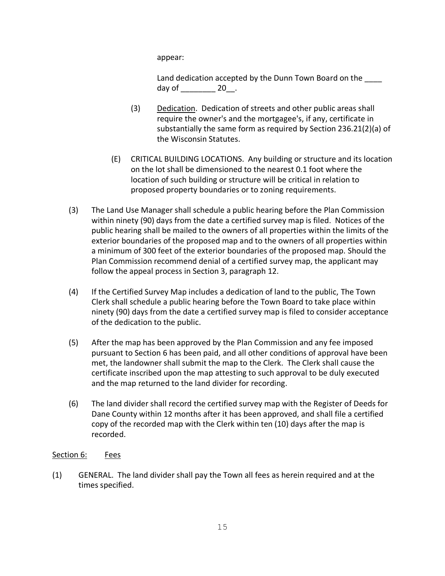appear:

Land dedication accepted by the Dunn Town Board on the day of  $\qquad \qquad$  20.

- (3) Dedication. Dedication of streets and other public areas shall require the owner's and the mortgagee's, if any, certificate in substantially the same form as required by Section 236.21(2)(a) of the Wisconsin Statutes.
- (E) CRITICAL BUILDING LOCATIONS. Any building or structure and its location on the lot shall be dimensioned to the nearest 0.1 foot where the location of such building or structure will be critical in relation to proposed property boundaries or to zoning requirements.
- (3) The Land Use Manager shall schedule a public hearing before the Plan Commission within ninety (90) days from the date a certified survey map is filed. Notices of the public hearing shall be mailed to the owners of all properties within the limits of the exterior boundaries of the proposed map and to the owners of all properties within a minimum of 300 feet of the exterior boundaries of the proposed map. Should the Plan Commission recommend denial of a certified survey map, the applicant may follow the appeal process in Section 3, paragraph 12.
- (4) If the Certified Survey Map includes a dedication of land to the public, The Town Clerk shall schedule a public hearing before the Town Board to take place within ninety (90) days from the date a certified survey map is filed to consider acceptance of the dedication to the public.
- (5) After the map has been approved by the Plan Commission and any fee imposed pursuant to Section 6 has been paid, and all other conditions of approval have been met, the landowner shall submit the map to the Clerk. The Clerk shall cause the certificate inscribed upon the map attesting to such approval to be duly executed and the map returned to the land divider for recording.
- (6) The land divider shall record the certified survey map with the Register of Deeds for Dane County within 12 months after it has been approved, and shall file a certified copy of the recorded map with the Clerk within ten (10) days after the map is recorded.

## Section 6: Fees

(1) GENERAL. The land divider shall pay the Town all fees as herein required and at the times specified.